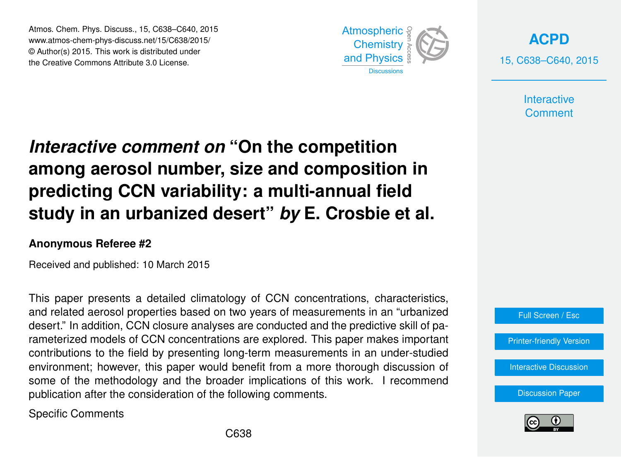Atmos. Chem. Phys. Discuss., 15, C638–C640, 2015 www.atmos-chem-phys-discuss.net/15/C638/2015/ © Author(s) 2015. This work is distributed under the Creative Commons Attribute 3.0 License.



**[ACPD](http://www.atmos-chem-phys-discuss.net)** 15, C638–C640, 2015

> **Interactive Comment**

## *Interactive comment on* **"On the competition among aerosol number, size and composition in predicting CCN variability: a multi-annual field study in an urbanized desert"** *by* **E. Crosbie et al.**

## **Anonymous Referee #2**

Received and published: 10 March 2015

This paper presents a detailed climatology of CCN concentrations, characteristics, and related aerosol properties based on two years of measurements in an "urbanized desert." In addition, CCN closure analyses are conducted and the predictive skill of parameterized models of CCN concentrations are explored. This paper makes important contributions to the field by presenting long-term measurements in an under-studied environment; however, this paper would benefit from a more thorough discussion of some of the methodology and the broader implications of this work. I recommend publication after the consideration of the following comments.

Specific Comments



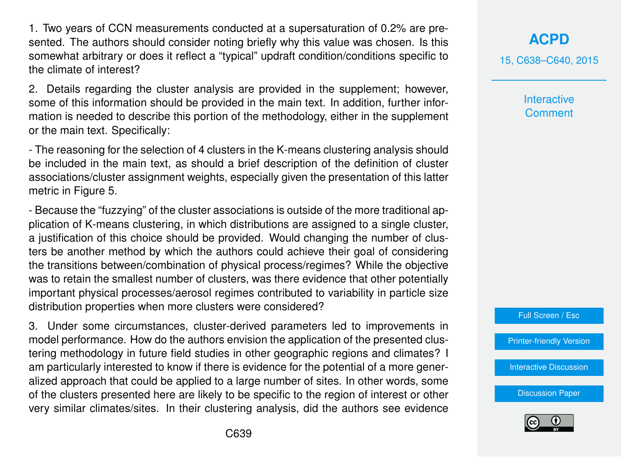1. Two years of CCN measurements conducted at a supersaturation of 0.2% are presented. The authors should consider noting briefly why this value was chosen. Is this somewhat arbitrary or does it reflect a "typical" updraft condition/conditions specific to the climate of interest?

2. Details regarding the cluster analysis are provided in the supplement; however, some of this information should be provided in the main text. In addition, further information is needed to describe this portion of the methodology, either in the supplement or the main text. Specifically:

- The reasoning for the selection of 4 clusters in the K-means clustering analysis should be included in the main text, as should a brief description of the definition of cluster associations/cluster assignment weights, especially given the presentation of this latter metric in Figure 5.

- Because the "fuzzying" of the cluster associations is outside of the more traditional application of K-means clustering, in which distributions are assigned to a single cluster, a justification of this choice should be provided. Would changing the number of clusters be another method by which the authors could achieve their goal of considering the transitions between/combination of physical process/regimes? While the objective was to retain the smallest number of clusters, was there evidence that other potentially important physical processes/aerosol regimes contributed to variability in particle size distribution properties when more clusters were considered?

3. Under some circumstances, cluster-derived parameters led to improvements in model performance. How do the authors envision the application of the presented clustering methodology in future field studies in other geographic regions and climates? I am particularly interested to know if there is evidence for the potential of a more generalized approach that could be applied to a large number of sites. In other words, some of the clusters presented here are likely to be specific to the region of interest or other very similar climates/sites. In their clustering analysis, did the authors see evidence **[ACPD](http://www.atmos-chem-phys-discuss.net)**

15, C638–C640, 2015

**Interactive Comment** 



[Printer-friendly Version](http://www.atmos-chem-phys-discuss.net/15/C638/2015/acpd-15-C638-2015-print.pdf)

[Interactive Discussion](http://www.atmos-chem-phys-discuss.net/15/3863/2015/acpd-15-3863-2015-discussion.html)

[Discussion Paper](http://www.atmos-chem-phys-discuss.net/15/3863/2015/acpd-15-3863-2015.pdf)